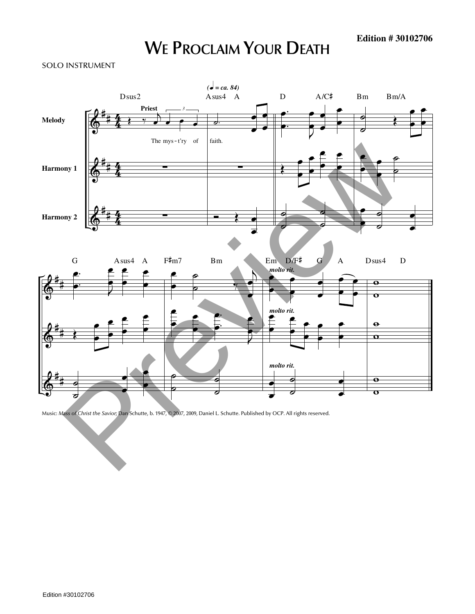## **WE PROCLAIM YOUR DEATH**

## SOLO INSTRUMENT



Music: *Mass of Christ the Savior;* Dan Schutte, b. 1947, © 2007, 2009, Daniel L. Schutte. Published by OCP. All rights reserved.